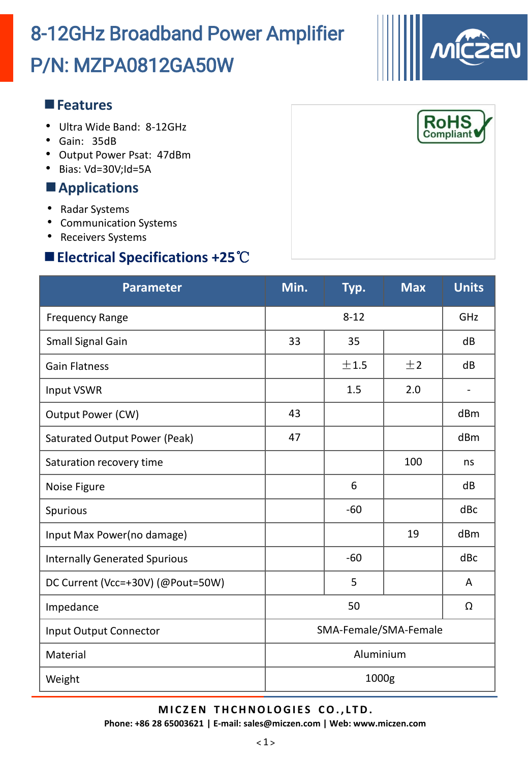# P/N: MZPA0812GA50W 8-12GHz Broadband Power Amplifier

### **Features**

- Ultra Wide Band: 8-12GHz
- Gain: 35dB
- Output Power Psat: 47dBm
- Bias: Vd=30V;Id=5A

# **Applications**

- Radar Systems
- Communication Systems
- Receivers Systems

# **Electrical Specifications +25**℃

| <b>Parameter</b>                     | Min.                  | Typ.  | <b>Max</b> | <b>Units</b>                 |  |
|--------------------------------------|-----------------------|-------|------------|------------------------------|--|
| <b>Frequency Range</b>               | $8 - 12$              |       |            | GHZ                          |  |
| Small Signal Gain                    | 33                    | 35    |            | dB                           |  |
| <b>Gain Flatness</b>                 |                       | ±1.5  | ±2         | dB                           |  |
| <b>Input VSWR</b>                    |                       | 1.5   | 2.0        | $\qquad \qquad \blacksquare$ |  |
| Output Power (CW)                    | 43                    |       |            | dBm                          |  |
| <b>Saturated Output Power (Peak)</b> | 47                    |       |            | dBm                          |  |
| Saturation recovery time             |                       |       | 100        | ns                           |  |
| Noise Figure                         |                       | 6     |            | dB                           |  |
| Spurious                             |                       | $-60$ |            | dBc                          |  |
| Input Max Power(no damage)           |                       |       | 19         | dBm                          |  |
| <b>Internally Generated Spurious</b> |                       | $-60$ |            | dBc                          |  |
| DC Current (Vcc=+30V) (@Pout=50W)    |                       | 5     |            | A                            |  |
| Impedance                            | 50<br>Ω               |       |            |                              |  |
| Input Output Connector               | SMA-Female/SMA-Female |       |            |                              |  |
| Material                             | Aluminium             |       |            |                              |  |
| Weight                               | 1000g                 |       |            |                              |  |